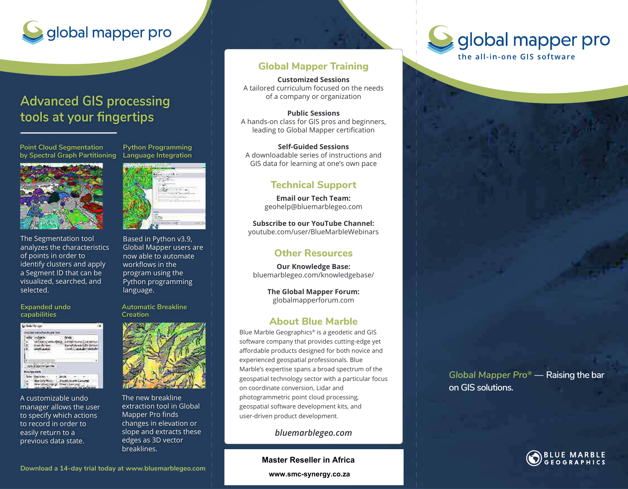# global mapper pro

### **Advanced GIS processing**  tools at your fingertips

**Point Cloud Segmentation by Spectral Graph Partitioning**



The Segmentation tool analyzes the characteristics of points in order to identify clusters and apply a Segment ID that can be visualized, searched, and selected.

#### **Expanded undo capabilities**

| <b>SARES</b> PE |  |
|-----------------|--|
|                 |  |
|                 |  |
|                 |  |

A customizable undo manager allows the user to specify which actions to record in order to easily return to a previous data state.



**Python Programming Language Integration**

Based in Python v3.9, Global Mapper users are now able to automate workflows in the program using the Python programming language.

#### **Automatic Breakline Creation**



The new breakline extraction tool in Global Mapper Pro finds changes in elevation or slope and extracts these edges as 3D vector breaklines.

#### **Global Mapper Training**

**Customized Sessions** A tailored curriculum focused on the needs of a company or organization

**Public Sessions** A hands-on class for GIS pros and beginners, leading to Global Mapper certification

**Self-Guided Sessions** A downloadable series of instructions and GIS data for learning at one's own pace

#### **Technical Support**

**Email our Tech Team:** geohelp@bluemarblegeo.com

**Subscribe to our YouTube Channel:**  youtube.com/user/BlueMarbleWebinars

#### **Other Resources**

**Our Knowledge Base:**  bluemarblegeo.com/knowledgebase/

> **The Global Mapper Forum:**  globalmapperforum.com

#### **About Blue Marble**

Blue Marble Geographics® is a geodetic and GIS software company that provides cutting-edge yet affordable products designed for both novice and experienced geospatial professionals. Blue Marble's expertise spans a broad spectrum of the geospatial technology sector with a particular focus on coordinate conversion, Lidar and photogrammetric point cloud processing, geospatial software development kits, and user-driven product development.

*bluemarblegeo.com*

**Master Reseller in Africa**

**www.smc-synergy.co.za**



*Global Mapper Pro®* **Raising the bar on GIS solutions.**



**Download a 14-day trial today at www.bluemarblegeo.com**